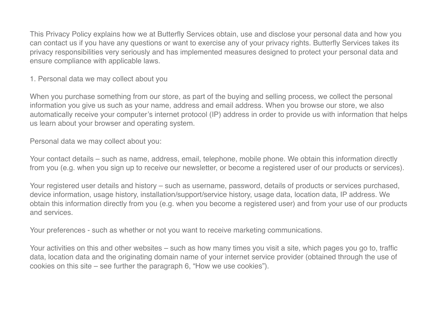This Privacy Policy explains how we at Butterfly Services obtain, use and disclose your personal data and how you can contact us if you have any questions or want to exercise any of your privacy rights. Butterfly Services takes its privacy responsibilities very seriously and has implemented measures designed to protect your personal data and ensure compliance with applicable laws.

1. Personal data we may collect about you

When you purchase something from our store, as part of the buying and selling process, we collect the personal information you give us such as your name, address and email address. When you browse our store, we also automatically receive your computer's internet protocol (IP) address in order to provide us with information that helps us learn about your browser and operating system.

Personal data we may collect about you:

Your contact details – such as name, address, email, telephone, mobile phone. We obtain this information directly from you (e.g. when you sign up to receive our newsletter, or become a registered user of our products or services).

Your registered user details and history – such as username, password, details of products or services purchased, device information, usage history, installation/support/service history, usage data, location data, IP address. We obtain this information directly from you (e.g. when you become a registered user) and from your use of our products and services.

Your preferences - such as whether or not you want to receive marketing communications.

Your activities on this and other websites – such as how many times you visit a site, which pages you go to, traffic data, location data and the originating domain name of your internet service provider (obtained through the use of cookies on this site – see further the paragraph 6, "How we use cookies").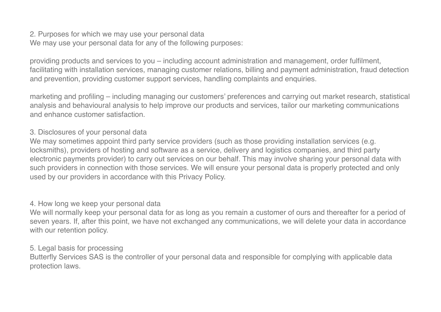2. Purposes for which we may use your personal data We may use your personal data for any of the following purposes:

providing products and services to you – including account administration and management, order fulfilment, facilitating with installation services, managing customer relations, billing and payment administration, fraud detection and prevention, providing customer support services, handling complaints and enquiries.

marketing and profiling – including managing our customers' preferences and carrying out market research, statistical analysis and behavioural analysis to help improve our products and services, tailor our marketing communications and enhance customer satisfaction.

## 3. Disclosures of your personal data

We may sometimes appoint third party service providers (such as those providing installation services (e.g. locksmiths), providers of hosting and software as a service, delivery and logistics companies, and third party electronic payments provider) to carry out services on our behalf. This may involve sharing your personal data with such providers in connection with those services. We will ensure your personal data is properly protected and only used by our providers in accordance with this Privacy Policy.

#### 4. How long we keep your personal data

We will normally keep your personal data for as long as you remain a customer of ours and thereafter for a period of seven years. If, after this point, we have not exchanged any communications, we will delete your data in accordance with our retention policy.

## 5. Legal basis for processing

Butterfly Services SAS is the controller of your personal data and responsible for complying with applicable data protection laws.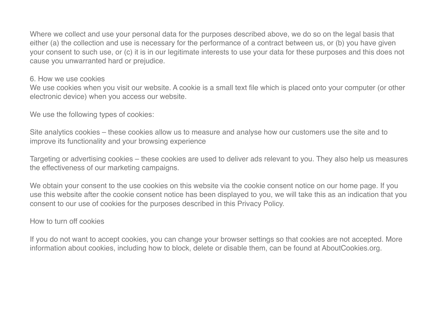Where we collect and use your personal data for the purposes described above, we do so on the legal basis that either (a) the collection and use is necessary for the performance of a contract between us, or (b) you have given your consent to such use, or (c) it is in our legitimate interests to use your data for these purposes and this does not cause you unwarranted hard or prejudice.

#### 6. How we use cookies

We use cookies when you visit our website. A cookie is a small text file which is placed onto your computer (or other electronic device) when you access our website.

We use the following types of cookies:

Site analytics cookies – these cookies allow us to measure and analyse how our customers use the site and to improve its functionality and your browsing experience

Targeting or advertising cookies – these cookies are used to deliver ads relevant to you. They also help us measures the effectiveness of our marketing campaigns.

We obtain your consent to the use cookies on this website via the cookie consent notice on our home page. If you use this website after the cookie consent notice has been displayed to you, we will take this as an indication that you consent to our use of cookies for the purposes described in this Privacy Policy.

# How to turn off cookies

If you do not want to accept cookies, you can change your browser settings so that cookies are not accepted. More information about cookies, including how to block, delete or disable them, can be found at AboutCookies.org.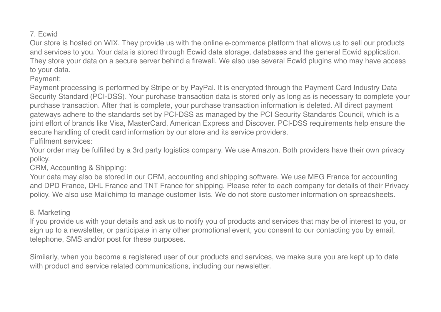# 7. Ecwid

Our store is hosted on WIX. They provide us with the online e-commerce platform that allows us to sell our products and services to you. Your data is stored through Ecwid data storage, databases and the general Ecwid application. They store your data on a secure server behind a firewall. We also use several Ecwid plugins who may have access to your data.

Payment:

Payment processing is performed by Stripe or by PayPal. It is encrypted through the Payment Card Industry Data Security Standard (PCI-DSS). Your purchase transaction data is stored only as long as is necessary to complete your purchase transaction. After that is complete, your purchase transaction information is deleted. All direct payment gateways adhere to the standards set by PCI-DSS as managed by the PCI Security Standards Council, which is a joint effort of brands like Visa, MasterCard, American Express and Discover. PCI-DSS requirements help ensure the secure handling of credit card information by our store and its service providers.

Fulfilment services:

Your order may be fulfilled by a 3rd party logistics company. We use Amazon. Both providers have their own privacy policy.

CRM, Accounting & Shipping:

Your data may also be stored in our CRM, accounting and shipping software. We use MEG France for accounting and DPD France, DHL France and TNT France for shipping. Please refer to each company for details of their Privacy policy. We also use Mailchimp to manage customer lists. We do not store customer information on spreadsheets.

# 8. Marketing

If you provide us with your details and ask us to notify you of products and services that may be of interest to you, or sign up to a newsletter, or participate in any other promotional event, you consent to our contacting you by email, telephone, SMS and/or post for these purposes.

Similarly, when you become a registered user of our products and services, we make sure you are kept up to date with product and service related communications, including our newsletter.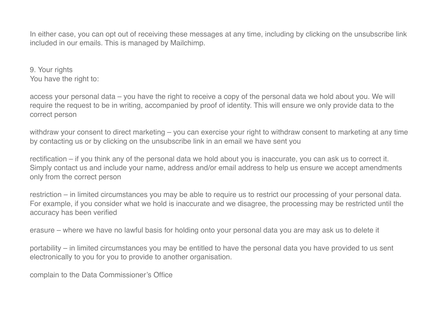In either case, you can opt out of receiving these messages at any time, including by clicking on the unsubscribe link included in our emails. This is managed by Mailchimp.

9. Your rights You have the right to:

access your personal data – you have the right to receive a copy of the personal data we hold about you. We will require the request to be in writing, accompanied by proof of identity. This will ensure we only provide data to the correct person

withdraw your consent to direct marketing – you can exercise your right to withdraw consent to marketing at any time by contacting us or by clicking on the unsubscribe link in an email we have sent you

rectification – if you think any of the personal data we hold about you is inaccurate, you can ask us to correct it. Simply contact us and include your name, address and/or email address to help us ensure we accept amendments only from the correct person

restriction – in limited circumstances you may be able to require us to restrict our processing of your personal data. For example, if you consider what we hold is inaccurate and we disagree, the processing may be restricted until the accuracy has been verified

erasure – where we have no lawful basis for holding onto your personal data you are may ask us to delete it

portability – in limited circumstances you may be entitled to have the personal data you have provided to us sent electronically to you for you to provide to another organisation.

complain to the Data Commissioner's Office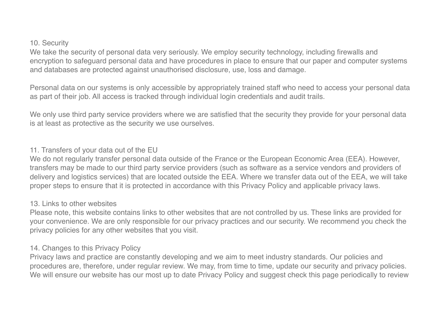#### 10. Security

We take the security of personal data very seriously. We employ security technology, including firewalls and encryption to safeguard personal data and have procedures in place to ensure that our paper and computer systems and databases are protected against unauthorised disclosure, use, loss and damage.

Personal data on our systems is only accessible by appropriately trained staff who need to access your personal data as part of their job. All access is tracked through individual login credentials and audit trails.

We only use third party service providers where we are satisfied that the security they provide for your personal data is at least as protective as the security we use ourselves.

### 11. Transfers of your data out of the EU

We do not regularly transfer personal data outside of the France or the European Economic Area (EEA). However, transfers may be made to our third party service providers (such as software as a service vendors and providers of delivery and logistics services) that are located outside the EEA. Where we transfer data out of the EEA, we will take proper steps to ensure that it is protected in accordance with this Privacy Policy and applicable privacy laws.

## 13. Links to other websites

Please note, this website contains links to other websites that are not controlled by us. These links are provided for your convenience. We are only responsible for our privacy practices and our security. We recommend you check the privacy policies for any other websites that you visit.

# 14. Changes to this Privacy Policy

Privacy laws and practice are constantly developing and we aim to meet industry standards. Our policies and procedures are, therefore, under regular review. We may, from time to time, update our security and privacy policies. We will ensure our website has our most up to date Privacy Policy and suggest check this page periodically to review